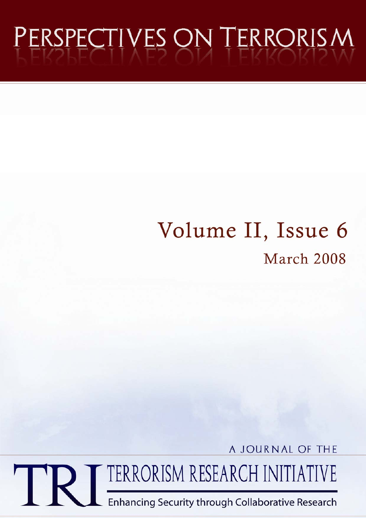# PERSPECTIVES ON TERRORISM

# Volume II, Issue 6 March 2008

A JOURNAL OF THE

TERRORISM RESEARCH INITIATIVE

Enhancing Security through Collaborative Research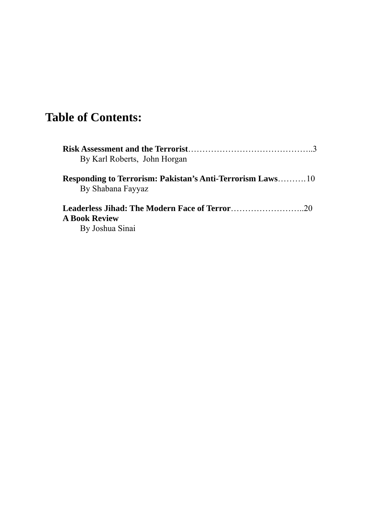# **Table of Contents:**

|                      | By Karl Roberts, John Horgan                                                           |  |
|----------------------|----------------------------------------------------------------------------------------|--|
|                      | <b>Responding to Terrorism: Pakistan's Anti-Terrorism Laws</b> 10<br>By Shabana Fayyaz |  |
|                      |                                                                                        |  |
| <b>A Book Review</b> |                                                                                        |  |
|                      | By Joshua Sinai                                                                        |  |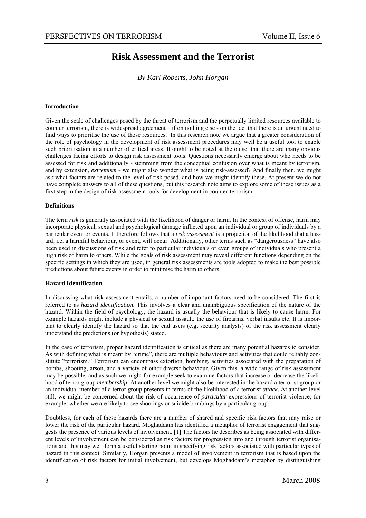### **Risk Assessment and the Terrorist**

#### *By Karl Roberts, John Horgan*

#### **Introduction**

Given the scale of challenges posed by the threat of terrorism and the perpetually limited resources available to counter terrorism, there is widespread agreement – if on nothing else - on the fact that there is an urgent need to find ways to prioritise the use of those resources. In this research note we argue that a greater consideration of the role of psychology in the development of risk assessment procedures may well be a useful tool to enable such prioritisation in a number of critical areas. It ought to be noted at the outset that there are many obvious challenges facing efforts to design risk assessment tools. Questions necessarily emerge about who needs to be assessed for risk and additionally - stemming from the conceptual confusion over what is meant by terrorism, and by extension, *extremism* - we might also wonder what is being risk-assessed? And finally then, we might ask what factors are related to the level of risk posed, and how we might identify these. At present we do not have complete answers to all of these questions, but this research note aims to explore some of these issues as a first step in the design of risk assessment tools for development in counter-terrorism.

#### **Definitions**

The term *risk* is generally associated with the likelihood of danger or harm. In the context of offense, harm may incorporate physical, sexual and psychological damage inflicted upon an individual or group of individuals by a particular event or events. It therefore follows that a *risk assessment* is a projection of the likelihood that a hazard, i.e. a harmful behaviour, or event, will occur. Additionally, other terms such as "dangerousness" have also been used in discussions of risk and refer to particular individuals or even groups of individuals who present a high risk of harm to others. While the goals of risk assessment may reveal different functions depending on the specific settings in which they are used, in general risk assessments are tools adopted to make the best possible predictions about future events in order to minimise the harm to others.

#### **Hazard Identification**

In discussing what risk assessment entails, a number of important factors need to be considered. The first is referred to as *hazard identification*. This involves a clear and unambiguous specification of the nature of the hazard. Within the field of psychology, the hazard is usually the behaviour that is likely to cause harm. For example hazards might include a physical or sexual assault, the use of firearms, verbal insults etc. It is important to clearly identify the hazard so that the end users (e.g. security analysts) of the risk assessment clearly understand the predictions (or hypothesis) stated.

In the case of terrorism, proper hazard identification is critical as there are many potential hazards to consider. As with defining what is meant by "crime", there are multiple behaviours and activities that could reliably constitute "terrorism." Terrorism can encompass extortion, bombing, activities associated with the preparation of bombs, shooting, arson, and a variety of other diverse behaviour. Given this, a wide range of risk assessment may be possible, and as such we might for example seek to examine factors that increase or decrease the likelihood of terror group *membership*. At another level we might also be interested in the hazard a terrorist group or an individual member of a terror group presents in terms of the likelihood of a terrorist *attack*. At another level still, we might be concerned about the risk of occurrence of *particular* expressions of terrorist violence, for example, whether we are likely to see shootings or suicide bombings by a particular group.

Doubtless, for each of these hazards there are a number of shared and specific risk factors that may raise or lower the risk of the particular hazard. Moghaddam has identified a metaphor of terrorist engagement that suggests the presence of various levels of involvement. [1] The factors he describes as being associated with different levels of involvement can be considered as risk factors for progression into and through terrorist organisations and this may well form a useful starting point in specifying risk factors associated with particular types of hazard in this context. Similarly, Horgan presents a model of involvement in terrorism that is based upon the identification of risk factors for initial involvement, but develops Moghaddam's metaphor by distinguishing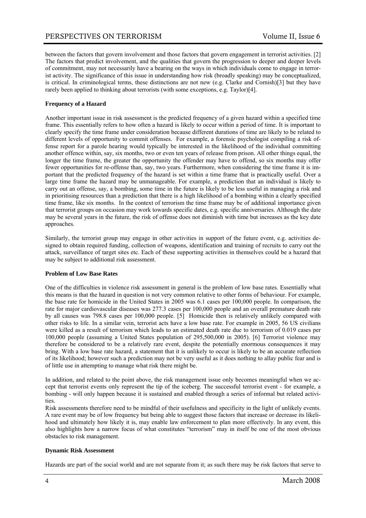between the factors that govern involvement and those factors that govern engagement in terrorist activities. [2] The factors that predict involvement, and the qualities that govern the progression to deeper and deeper levels of commitment, may not necessarily have a bearing on the ways in which individuals come to engage in terrorist activity. The significance of this issue in understanding how risk (broadly speaking) may be conceptualized, is critical. In criminological terms, these distinctions are not new (e.g. Clarke and Cornish)[3] but they have rarely been applied to thinking about terrorists (with some exceptions, e.g. Taylor)[4].

#### **Frequency of a Hazard**

Another important issue in risk assessment is the predicted frequency of a given hazard within a specified time frame. This essentially refers to how often a hazard is likely to occur within a period of time. It is important to clearly specify the time frame under consideration because different durations of time are likely to be related to different levels of opportunity to commit offenses. For example, a forensic psychologist compiling a risk offense report for a parole hearing would typically be interested in the likelihood of the individual committing another offence within, say, six months, two or even ten years of release from prison. All other things equal, the longer the time frame, the greater the opportunity the offender may have to offend, so six months may offer fewer opportunities for re-offense than, say, two years. Furthermore, when considering the time frame it is important that the predicted frequency of the hazard is set within a time frame that is practically useful. Over a large time frame the hazard may be unmanageable. For example, a prediction that an individual is likely to carry out an offense, say, a bombing, some time in the future is likely to be less useful in managing a risk and in prioritising resources than a prediction that there is a high likelihood of a bombing within a clearly specified time frame, like six months. In the context of terrorism the time frame may be of additional importance given that terrorist groups on occasion may work towards specific dates, e.g. specific anniversaries. Although the date may be several years in the future, the risk of offense does not diminish with time but increases as the key date approaches.

Similarly, the terrorist group may engage in other activities in support of the future event, e.g. activities designed to obtain required funding, collection of weapons, identification and training of recruits to carry out the attack, surveillance of target sites etc. Each of these supporting activities in themselves could be a hazard that may be subject to additional risk assessment.

#### **Problem of Low Base Rates**

One of the difficulties in violence risk assessment in general is the problem of low base rates. Essentially what this means is that the hazard in question is not very common relative to other forms of behaviour. For example, the base rate for homicide in the United States in 2005 was 6.1 cases per 100,000 people. In comparison, the rate for major cardiovascular diseases was 277.3 cases per 100,000 people and an overall premature death rate by all causes was 798.8 cases per 100,000 people. [5] Homicide then is relatively unlikely compared with other risks to life. In a similar vein, terrorist acts have a low base rate. For example in 2005, 56 US civilians were killed as a result of terrorism which leads to an estimated death rate due to terrorism of 0.019 cases per 100,000 people (assuming a United States population of 295,500,000 in 2005). [6] Terrorist violence may therefore be considered to be a relatively rare event, despite the potentially enormous consequences it may bring. With a low base rate hazard, a statement that it is unlikely to occur is likely to be an accurate reflection of its likelihood; however such a prediction may not be very useful as it does nothing to allay public fear and is of little use in attempting to manage what risk there might be.

In addition, and related to the point above, the risk management issue only becomes meaningful when we accept that terrorist events only represent the tip of the iceberg. The successful terrorist event - for example, a bombing - will only happen because it is sustained and enabled through a series of informal but related activities.

Risk assessments therefore need to be mindful of their usefulness and specificity in the light of unlikely events. A rare event may be of low frequency but being able to suggest those factors that increase or decrease its likelihood and ultimately how likely it is, may enable law enforcement to plan more effectively. In any event, this also highlights how a narrow focus of what constitutes "terrorism" may in itself be one of the most obvious obstacles to risk management.

#### **Dynamic Risk Assessment**

Hazards are part of the social world and are not separate from it; as such there may be risk factors that serve to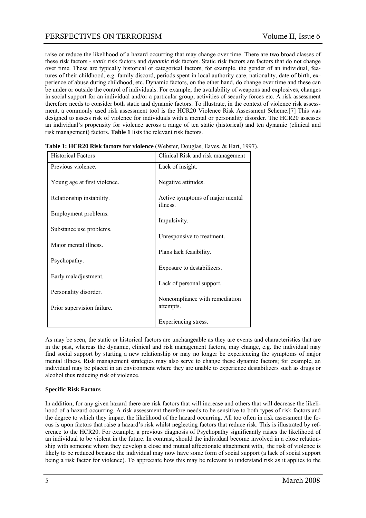raise or reduce the likelihood of a hazard occurring that may change over time. There are two broad classes of these risk factors - *static* risk factors and *dynamic* risk factors. Static risk factors are factors that do not change over time. These are typically historical or categorical factors, for example, the gender of an individual, features of their childhood, e.g. family discord, periods spent in local authority care, nationality, date of birth, experience of abuse during childhood, etc. Dynamic factors, on the other hand, do change over time and these can be under or outside the control of individuals. For example, the availability of weapons and explosives, changes in social support for an individual and/or a particular group, activities of security forces etc. A risk assessment therefore needs to consider both static and dynamic factors. To illustrate, in the context of violence risk assessment, a commonly used risk assessment tool is the HCR20 Violence Risk Assessment Scheme.[7] This was designed to assess risk of violence for individuals with a mental or personality disorder. The HCR20 assesses an individual's propensity for violence across a range of ten static (historical) and ten dynamic (clinical and risk management) factors. **Table 1** lists the relevant risk factors.

| <b>Historical Factors</b>    | Clinical Risk and risk management           |
|------------------------------|---------------------------------------------|
| Previous violence.           | Lack of insight.                            |
| Young age at first violence. | Negative attitudes.                         |
| Relationship instability.    | Active symptoms of major mental<br>illness. |
| Employment problems.         | Impulsivity.                                |
| Substance use problems.      | Unresponsive to treatment.                  |
| Major mental illness.        |                                             |
| Psychopathy.                 | Plans lack feasibility.                     |
|                              | Exposure to destabilizers.                  |
| Early maladjustment.         | Lack of personal support.                   |
| Personality disorder.        |                                             |
| Prior supervision failure.   | Noncompliance with remediation<br>attempts. |
|                              | Experiencing stress.                        |

**Table 1: HCR20 Risk factors for violence** *(Webster, Douglas, Eaves, & Hart, 1997)***.** 

As may be seen, the static or historical factors are unchangeable as they are events and characteristics that are in the past, whereas the dynamic, clinical and risk management factors, may change, e.g. the individual may find social support by starting a new relationship or may no longer be experiencing the symptoms of major mental illness. Risk management strategies may also serve to change these dynamic factors; for example, an individual may be placed in an environment where they are unable to experience destabilizers such as drugs or alcohol thus reducing risk of violence.

#### **Specific Risk Factors**

In addition, for any given hazard there are risk factors that will increase and others that will decrease the likelihood of a hazard occurring. A risk assessment therefore needs to be sensitive to both types of risk factors and the degree to which they impact the likelihood of the hazard occurring. All too often in risk assessment the focus is upon factors that raise a hazard's risk whilst neglecting factors that reduce risk. This is illustrated by reference to the HCR20. For example, a previous diagnosis of Psychopathy significantly raises the likelihood of an individual to be violent in the future. In contrast, should the individual become involved in a close relationship with someone whom they develop a close and mutual affectionate attachment with, the risk of violence is likely to be reduced because the individual may now have some form of social support (a lack of social support being a risk factor for violence). To appreciate how this may be relevant to understand risk as it applies to the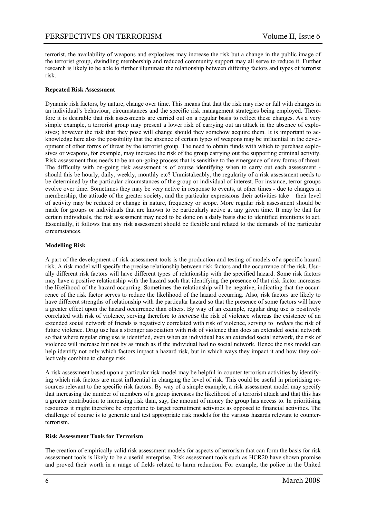terrorist, the availability of weapons and explosives may increase the risk but a change in the public image of the terrorist group, dwindling membership and reduced community support may all serve to reduce it. Further research is likely to be able to further illuminate the relationship between differing factors and types of terrorist risk.

#### **Repeated Risk Assessment**

Dynamic risk factors, by nature, change over time. This means that that the risk may rise or fall with changes in an individual's behaviour, circumstances and the specific risk management strategies being employed. Therefore it is desirable that risk assessments are carried out on a regular basis to reflect these changes. As a very simple example, a terrorist group may present a lower risk of carrying out an attack in the absence of explosives; however the risk that they pose will change should they somehow acquire them. It is important to acknowledge here also the possibility that the absence of certain types of weapons may be influential in the development of other forms of threat by the terrorist group. The need to obtain funds with which to purchase explosives or weapons, for example, may increase the risk of the group carrying out the supporting criminal activity. Risk assessment thus needs to be an on-going process that is sensitive to the emergence of new forms of threat. The difficulty with on-going risk assessment is of course identifying when to carry out each assessment should this be hourly, daily, weekly, monthly etc? Unmistakeably, the regularity of a risk assessment needs to be determined by the particular circumstances of the group or individual of interest. For instance, terror groups evolve over time. Sometimes they may be very active in response to events, at other times - due to changes in membership, the attitude of the greater society, and the particular expressions their activities take – their level of activity may be reduced or change in nature, frequency or scope. More regular risk assessment should be made for groups or individuals that are known to be particularly active at any given time. It may be that for certain individuals, the risk assessment may need to be done on a daily basis due to identified intentions to act. Essentially, it follows that any risk assessment should be flexible and related to the demands of the particular circumstances.

#### **Modelling Risk**

A part of the development of risk assessment tools is the production and testing of models of a specific hazard risk. A risk model will specify the precise relationship between risk factors and the occurrence of the risk. Usually different risk factors will have different types of relationship with the specified hazard. Some risk factors may have a positive relationship with the hazard such that identifying the presence of that risk factor increases the likelihood of the hazard occurring. Sometimes the relationship will be negative, indicating that the occurrence of the risk factor serves to reduce the likelihood of the hazard occurring. Also, risk factors are likely to have different strengths of relationship with the particular hazard so that the presence of some factors will have a greater effect upon the hazard occurrence than others. By way of an example, regular drug use is positively correlated with risk of violence, serving therefore to *increase* the risk of violence whereas the existence of an extended social network of friends is negatively correlated with risk of violence, serving to *reduce* the risk of future violence. Drug use has a stronger association with risk of violence than does an extended social network so that where regular drug use is identified, even when an individual has an extended social network, the risk of violence will increase but not by as much as if the individual had no social network. Hence the risk model can help identify not only which factors impact a hazard risk, but in which ways they impact it and how they collectively combine to change risk.

A risk assessment based upon a particular risk model may be helpful in counter terrorism activities by identifying which risk factors are most influential in changing the level of risk. This could be useful in prioritising resources relevant to the specific risk factors. By way of a simple example, a risk assessment model may specify that increasing the number of members of a group increases the likelihood of a terrorist attack and that this has a greater contribution to increasing risk than, say, the amount of money the group has access to. In prioritising resources it might therefore be opportune to target recruitment activities as opposed to financial activities. The challenge of course is to generate and test appropriate risk models for the various hazards relevant to counterterrorism.

#### **Risk Assessment Tools for Terrorism**

The creation of empirically valid risk assessment models for aspects of terrorism that can form the basis for risk assessment tools is likely to be a useful enterprise. Risk assessment tools such as HCR20 have shown promise and proved their worth in a range of fields related to harm reduction. For example, the police in the United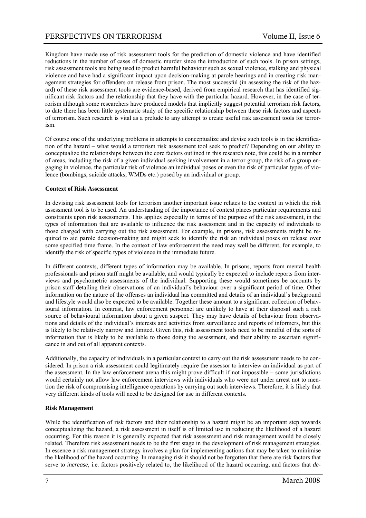Kingdom have made use of risk assessment tools for the prediction of domestic violence and have identified reductions in the number of cases of domestic murder since the introduction of such tools. In prison settings, risk assessment tools are being used to predict harmful behaviour such as sexual violence, stalking and physical violence and have had a significant impact upon decision-making at parole hearings and in creating risk management strategies for offenders on release from prison. The most successful (in assessing the risk of the hazard) of these risk assessment tools are evidence-based, derived from empirical research that has identified significant risk factors and the relationship that they have with the particular hazard. However, in the case of terrorism although some researchers have produced models that implicitly suggest potential terrorism risk factors, to date there has been little systematic study of the specific relationship between these risk factors and aspects of terrorism. Such research is vital as a prelude to any attempt to create useful risk assessment tools for terrorism.

Of course one of the underlying problems in attempts to conceptualize and devise such tools is in the identification of the hazard – what would a terrorism risk assessment tool seek to predict? Depending on our ability to conceptualize the relationships between the core factors outlined in this research note, this could be in a number of areas, including the risk of a given individual seeking involvement in a terror group, the risk of a group engaging in violence, the particular risk of violence an individual poses or even the risk of particular types of violence (bombings, suicide attacks, WMDs etc.) posed by an individual or group.

#### **Context of Risk Assessment**

In devising risk assessment tools for terrorism another important issue relates to the context in which the risk assessment tool is to be used. An understanding of the importance of context places particular requirements and constraints upon risk assessments. This applies especially in terms of the purpose of the risk assessment, in the types of information that are available to influence the risk assessment and in the capacity of individuals to those charged with carrying out the risk assessment. For example, in prisons, risk assessments might be required to aid parole decision-making and might seek to identify the risk an individual poses on release over some specified time frame. In the context of law enforcement the need may well be different, for example, to identify the risk of specific types of violence in the immediate future.

In different contexts, different types of information may be available. In prisons, reports from mental health professionals and prison staff might be available, and would typically be expected to include reports from interviews and psychometric assessments of the individual. Supporting these would sometimes be accounts by prison staff detailing their observations of an individual's behaviour over a significant period of time. Other information on the nature of the offenses an individual has committed and details of an individual's background and lifestyle would also be expected to be available. Together these amount to a significant collection of behavioural information. In contrast, law enforcement personnel are unlikely to have at their disposal such a rich source of behavioural information about a given suspect. They may have details of behaviour from observations and details of the individual's interests and activities from surveillance and reports of informers, but this is likely to be relatively narrow and limited. Given this, risk assessment tools need to be mindful of the sorts of information that is likely to be available to those doing the assessment, and their ability to ascertain significance in and out of all apparent contexts.

Additionally, the capacity of individuals in a particular context to carry out the risk assessment needs to be considered. In prison a risk assessment could legitimately require the assessor to interview an individual as part of the assessment. In the law enforcement arena this might prove difficult if not impossible – some jurisdictions would certainly not allow law enforcement interviews with individuals who were not under arrest not to mention the risk of compromising intelligence operations by carrying out such interviews. Therefore, it is likely that very different kinds of tools will need to be designed for use in different contexts.

#### **Risk Management**

While the identification of risk factors and their relationship to a hazard might be an important step towards conceptualizing the hazard, a risk assessment in itself is of limited use in reducing the likelihood of a hazard occurring. For this reason it is generally expected that risk assessment and risk management would be closely related. Therefore risk assessment needs to be the first stage in the development of risk management strategies. In essence a risk management strategy involves a plan for implementing actions that may be taken to minimise the likelihood of the hazard occurring. In managing risk it should not be forgotten that there are risk factors that serve to *increase,* i.e. factors positively related to, the likelihood of the hazard occurring, and factors that *de-*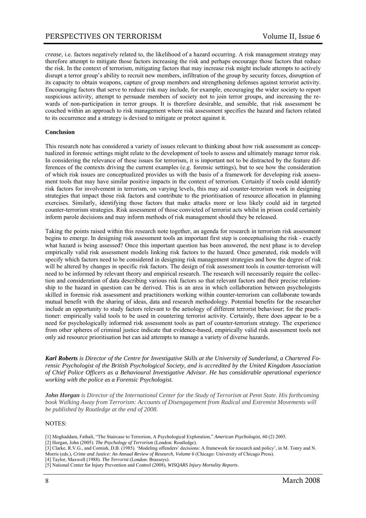*crease,* i.e. factors negatively related to, the likelihood of a hazard occurring. A risk management strategy may therefore attempt to mitigate those factors increasing the risk and perhaps encourage those factors that reduce the risk. In the context of terrorism, mitigating factors that may increase risk might include attempts to actively disrupt a terror group's ability to recruit new members, infiltration of the group by security forces, disruption of its capacity to obtain weapons, capture of group members and strengthening defenses against terrorist activity. Encouraging factors that serve to reduce risk may include, for example, encouraging the wider society to report suspicious activity, attempt to persuade members of society not to join terror groups, and increasing the rewards of non-participation in terror groups. It is therefore desirable, and sensible, that risk assessment be couched within an approach to risk management where risk assessment specifies the hazard and factors related to its occurrence and a strategy is devised to mitigate or protect against it.

#### **Conclusion**

This research note has considered a variety of issues relevant to thinking about how risk assessment as conceptualized in forensic settings might relate to the development of tools to assess and ultimately manage terror risk. In considering the relevance of these issues for terrorism, it is important not to be distracted by the feature differences of the contexts driving the current examples (e.g. forensic settings), but to see how the consideration of which risk issues are conceptualized provides us with the basis of a framework for developing risk assessment tools that may have similar positive impacts in the context of terrorism. Certainly if tools could identify risk factors for involvement in terrorism, on varying levels, this may aid counter-terrorism work in designing strategies that impact those risk factors and contribute to the prioritisation of resource allocation in planning exercises. Similarly, identifying those factors that make attacks more or less likely could aid in targeted counter-terrorism strategies. Risk assessment of those convicted of terrorist acts whilst in prison could certainly inform parole decisions and may inform methods of risk management should they be released.

Taking the points raised within this research note together, an agenda for research in terrorism risk assessment begins to emerge. In designing risk assessment tools an important first step is conceptualising the risk - exactly what hazard is being assessed? Once this important question has been answered, the next phase is to develop empirically valid risk assessment models linking risk factors to the hazard. Once generated, risk models will specify which factors need to be considered in designing risk management strategies and how the degree of risk will be altered by changes in specific risk factors. The design of risk assessment tools in counter-terrorism will need to be informed by relevant theory and empirical research. The research will necessarily require the collection and consideration of data describing various risk factors so that relevant factors and their precise relationship to the hazard in question can be derived. This is an area in which collaboration between psychologists skilled in forensic risk assessment and practitioners working within counter-terrorism can collaborate towards mutual benefit with the sharing of ideas, data and research methodology. Potential benefits for the researcher include an opportunity to study factors relevant to the aetiology of different terrorist behaviour; for the practitioner: empirically valid tools to be used in countering terrorist activity. Certainly, there does appear to be a need for psychologically informed risk assessment tools as part of counter-terrorism strategy. The experience from other spheres of criminal justice indicate that evidence-based, empirically valid risk assessment tools not only aid resource prioritisation but can aid attempts to manage a variety of diverse hazards.

*Karl Roberts is Director of the Centre for Investigative Skills at the University of Sunderland, a Chartered Forensic Psychologist of the British Psychological Society, and is accredited by the United Kingdom Association of Chief Police Officers as a Behavioural Investigative Advisor. He has considerable operational experience working with the police as a Forensic Psychologist.* 

*John Horgan is Director of the International Center for the Study of Terrorism at Penn State. His forthcoming book Walking Away from Terrorism: Accounts of Disengagement from Radical and Extremist Movements will be published by Routledge at the end of 2008.* 

#### NOTES:

- [1] Moghaddam, Fathali, "The Staircase to Terrorism, A Psychological Exploration," *American Psychologist*, 60 (2) 2005.
- [2] Horgan, John (2005). *The Psychology of Terrorism* (London: Routledge).
- [3] Clarke, R.V.G., and Cornish, D.B. (1985). 'Modeling offenders' decisions: A framework for research and policy', in M. Tonry and N. Morris (eds.), *Crime and Justice: An Annual Review of Research, Volume 6* (Chicago: University of Chicago Press).
- [4] Taylor, Maxwell (1988). *The Terrorist* (London: Brasseys).
- [5] National Center for Injury Prevention and Control (2008), *WISQARS Injury Mortality Reports*.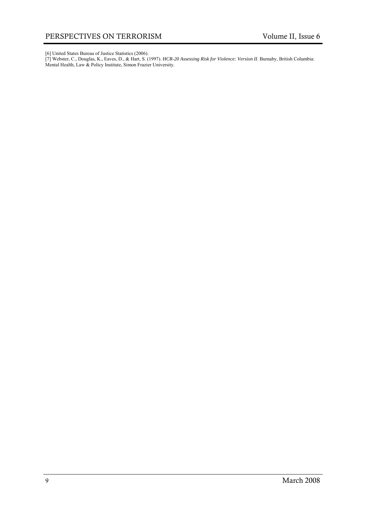[6] United States Bureau of Justice Statistics (2006).

[7] Webster, C., Douglas, K., Eaves, D., & Hart, S. (1997). *HCR-20 Assessing Risk for Violence: Version II*. Burnaby, British Columbia: Mental Health, Law & Policy Institute, Simon Frazier University.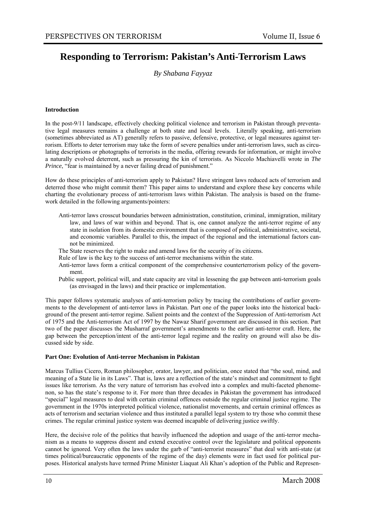## **Responding to Terrorism: Pakistan's Anti-Terrorism Laws**

*By Shabana Fayyaz* 

#### **Introduction**

In the post-9/11 landscape, effectively checking political violence and terrorism in Pakistan through preventative legal measures remains a challenge at both state and local levels. Literally speaking, anti-terrorism (sometimes abbreviated as AT) generally refers to passive, defensive, protective, or legal measures against terrorism. Efforts to deter terrorism may take the form of severe penalties under anti-terrorism laws, such as circulating descriptions or photographs of terrorists in the media, offering rewards for information, or might involve a naturally evolved deterrent, such as pressuring the kin of terrorists. As Niccolo Machiavelli wrote in *The Prince*, "fear is maintained by a never failing dread of punishment."

How do these principles of anti-terrorism apply to Pakistan? Have stringent laws reduced acts of terrorism and deterred those who might commit them? This paper aims to understand and explore these key concerns while charting the evolutionary process of anti-terrorism laws within Pakistan. The analysis is based on the framework detailed in the following arguments/pointers:

- Anti-terror laws crosscut boundaries between administration, constitution, criminal, immigration, military law, and laws of war within and beyond. That is, one cannot analyze the anti-terror regime of any state in isolation from its domestic environment that is composed of political, administrative, societal, and economic variables. Parallel to this, the impact of the regional and the international factors cannot be minimized.
- The State reserves the right to make and amend laws for the security of its citizens.
- Rule of law is the key to the success of anti-terror mechanisms within the state.
- Anti-terror laws form a critical component of the comprehensive counterterrorism policy of the government.
- Public support, political will, and state capacity are vital in lessening the gap between anti-terrorism goals (as envisaged in the laws) and their practice or implementation.

This paper follows systematic analyses of anti-terrorism policy by tracing the contributions of earlier governments to the development of anti-terror laws in Pakistan. Part one of the paper looks into the historical background of the present anti-terror regime. Salient points and the context of the Suppression of Anti-terrorism Act of 1975 and the Anti-terrorism Act of 1997 by the Nawaz Sharif government are discussed in this section. Part two of the paper discusses the Musharraf government's amendments to the earlier anti-terror craft. Here, the gap between the perception/intent of the anti-terror legal regime and the reality on ground will also be discussed side by side.

#### **Part One: Evolution of Anti-terror Mechanism in Pakistan**

Marcus Tullius Cicero, Roman philosopher, orator, lawyer, and politician, once stated that "the soul, mind, and meaning of a State lie in its Laws". That is, laws are a reflection of the state's mindset and commitment to fight issues like terrorism. As the very nature of terrorism has evolved into a complex and multi-faceted phenomenon, so has the state's response to it. For more than three decades in Pakistan the government has introduced "special" legal measures to deal with certain criminal offences outside the regular criminal justice regime. The government in the 1970s interpreted political violence, nationalist movements, and certain criminal offences as acts of terrorism and sectarian violence and thus instituted a parallel legal system to try those who commit these crimes. The regular criminal justice system was deemed incapable of delivering justice swiftly.

Here, the decisive role of the politics that heavily influenced the adoption and usage of the anti-terror mechanism as a means to suppress dissent and extend executive control over the legislature and political opponents cannot be ignored. Very often the laws under the garb of "anti-terrorist measures" that deal with anti-state (at times political/bureaucratic opponents of the regime of the day) elements were in fact used for political purposes. Historical analysts have termed Prime Minister Liaquat Ali Khan's adoption of the Public and Represen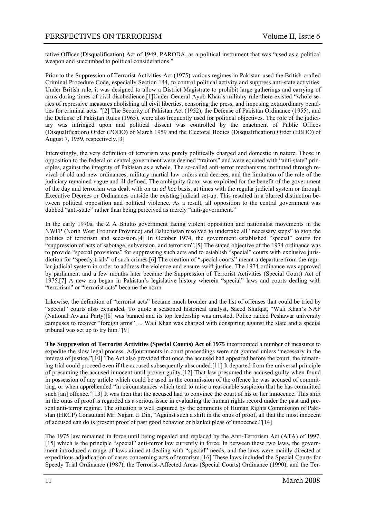tative Officer (Disqualification) Act of 1949, PARODA, as a political instrument that was "used as a political weapon and succumbed to political considerations."

Prior to the Suppression of Terrorist Activities Act (1975) various regimes in Pakistan used the British-crafted Criminal Procedure Code, especially Section 144, to control political activity and suppress anti-state activities. Under British rule, it was designed to allow a District Magistrate to prohibit large gatherings and carrying of arms during times of civil disobedience.[1]Under General Ayub Khan's military rule there existed "whole series of repressive measures abolishing all civil liberties, censoring the press, and imposing extraordinary penalties for criminal acts. "[2] The Security of Pakistan Act (1952), the Defense of Pakistan Ordinance (1955), and the Defense of Pakistan Rules (1965), were also frequently used for political objectives. The role of the judiciary was infringed upon and political dissent was controlled by the enactment of Public Offices (Disqualification) Order (PODO) of March 1959 and the Electoral Bodies (Disqualification) Order (EBDO) of August 7, 1959, respectively.[3]

Interestingly, the very definition of terrorism was purely politically charged and domestic in nature. Those in opposition to the federal or central government were deemed "traitors" and were equated with "anti-state" principles, against the integrity of Pakistan as a whole. The so-called anti-terror mechanisms instituted through revival of old and new ordinances, military martial law orders and decrees, and the limitation of the role of the judiciary remained vague and ill-defined. The ambiguity factor was exploited for the benefit of the government of the day and terrorism was dealt with on an *ad hoc* basis, at times with the regular judicial system or through Executive Decrees or Ordinances outside the existing judicial set-up. This resulted in a blurred distinction between political opposition and political violence. As a result, all opposition to the central government was dubbed "anti-state" rather than being perceived as merely "anti-government."

In the early 1970s, the Z A Bhutto government facing violent opposition and nationalist movements in the NWFP (North West Frontier Province) and Baluchistan resolved to undertake all "necessary steps" to stop the politics of terrorism and secession.[4] In October 1974, the government established "special" courts for "suppression of acts of sabotage, subversion, and terrorism".[5] The stated objective of the 1974 ordinance was to provide "special provisions" for suppressing such acts and to establish "special" courts with exclusive jurisdiction for "speedy trials" of such crimes.[6] The creation of "special courts" meant a departure from the regular judicial system in order to address the violence and ensure swift justice. The 1974 ordinance was approved by parliament and a few months later became the Suppression of Terrorist Activities (Special Court) Act of 1975.[7] A new era began in Pakistan's legislative history wherein "special" laws and courts dealing with "terrorism" or "terrorist acts" became the norm.

Likewise, the definition of "terrorist acts" became much broader and the list of offenses that could be tried by "special" courts also expanded. To quote a seasoned historical analyst, Saeed Shafqat, "Wali Khan's NAP (National Awami Party)[8] was banned and its top leadership was arrested. Police raided Peshawar university campuses to recover "foreign arms"…. Wali Khan was charged with conspiring against the state and a special tribunal was set up to try him."[9]

**The Suppression of Terrorist Activities (Special Courts) Act of 1975** incorporated a number of measures to expedite the slow legal process. Adjournments in court proceedings were not granted unless "necessary in the interest of justice."[10] The Act also provided that once the accused had appeared before the court, the remaining trial could proceed even if the accused subsequently absconded.[11] It departed from the universal principle of presuming the accused innocent until proven guilty.[12] That law presumed the accused guilty when found in possession of any article which could be used in the commission of the offence he was accused of committing, or when apprehended "in circumstances which tend to raise a reasonable suspicion that he has committed such [an] offence."[13] It was then that the accused had to convince the court of his or her innocence. This shift in the onus of proof is regarded as a serious issue in evaluating the human rights record under the past and present anti-terror regime. The situation is well captured by the comments of Human Rights Commission of Pakistan (HRCP) Consultant Mr. Najam U Din, "Against such a shift in the onus of proof, all that the most innocent of accused can do is present proof of past good behavior or blanket pleas of innocence."[14]

The 1975 law remained in force until being repealed and replaced by the Anti-Terrorism Act (ATA) of 1997, [15] which is the principle "special" anti-terror law currently in force. In between these two laws, the government introduced a range of laws aimed at dealing with "special" needs, and the laws were mainly directed at expeditious adjudication of cases concerning acts of terrorism.[16] These laws included the Special Courts for Speedy Trial Ordinance (1987), the Terrorist-Affected Areas (Special Courts) Ordinance (1990), and the Ter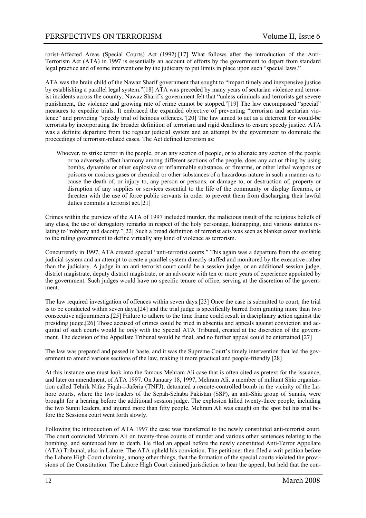rorist-Affected Areas (Special Courts) Act (1992).[17] What follows after the introduction of the Anti-Terrorism Act (ATA) in 1997 is essentially an account of efforts by the government to depart from standard legal practice and of some interventions by the judiciary to put limits in place upon such "special laws."

ATA was the brain child of the Nawaz Sharif government that sought to "impart timely and inexpensive justice by establishing a parallel legal system."[18] ATA was preceded by many years of sectarian violence and terrorist incidents across the country. Nawaz Sharif's government felt that "unless criminals and terrorists get severe punishment, the violence and growing rate of crime cannot be stopped."[19] The law encompassed "special" measures to expedite trials. It embraced the expanded objective of preventing "terrorism and sectarian violence" and providing "speedy trial of heinous offences."[20] The law aimed to act as a deterrent for would-be terrorists by incorporating the broader definition of terrorism and rigid deadlines to ensure speedy justice. ATA was a definite departure from the regular judicial system and an attempt by the government to dominate the proceedings of terrorism-related cases. The Act defined terrorism as:

Whoever, to strike terror in the people, or an any section of people, or to alienate any section of the people or to adversely affect harmony among different sections of the people, does any act or thing by using bombs, dynamite or other explosive or inflammable substance, or firearms, or other lethal weapons or poisons or noxious gases or chemical or other substances of a hazardous nature in such a manner as to cause the death of, or injury to, any person or persons, or damage to, or destruction of, property or disruption of any supplies or services essential to the life of the community or display firearms, or threaten with the use of force public servants in order to prevent them from discharging their lawful duties commits a terrorist act.[21]

Crimes within the purview of the ATA of 1997 included murder, the malicious insult of the religious beliefs of any class, the use of derogatory remarks in respect of the holy personage, kidnapping, and various statutes relating to "robbery and dacoity."[22] Such a broad definition of terrorist acts was seen as blanket cover available to the ruling government to define virtually any kind of violence as terrorism.

Concurrently in 1997, ATA created special "anti-terrorist courts." This again was a departure from the existing judicial system and an attempt to create a parallel system directly staffed and monitored by the executive rather than the judiciary. A judge in an anti-terrorist court could be a session judge, or an additional session judge, district magistrate, deputy district magistrate, or an advocate with ten or more years of experience appointed by the government. Such judges would have no specific tenure of office, serving at the discretion of the government.

The law required investigation of offences within seven days.[23] Once the case is submitted to court, the trial is to be conducted within seven days,[24] and the trial judge is specifically barred from granting more than two consecutive adjournments.[25] Failure to adhere to the time frame could result in disciplinary action against the presiding judge.[26] Those accused of crimes could be tried in absentia and appeals against conviction and acquittal of such courts would lie *only* with the Special ATA Tribunal, created at the discretion of the government. The decision of the Appellate Tribunal would be final, and no further appeal could be entertained.[27]

The law was prepared and passed in haste, and it was the Supreme Court's timely intervention that led the government to amend various sections of the law, making it more practical and people-friendly.[28]

At this instance one must look into the famous Mehram Ali case that is often cited as pretext for the issuance, and later on amendment, of ATA 1997. On January 18, 1997, Mehram Ali, a member of militant Shia organization called Tehrik Nifaz Fiqah-i-Jaferia (TNFJ), detonated a remote-controlled bomb in the vicinity of the Lahore courts, where the two leaders of the Sepah-Sehaba Pakistan (SSP), an anti-Shia group of Sunnis, were brought for a hearing before the additional session judge. The explosion killed twenty-three people, including the two Sunni leaders, and injured more than fifty people. Mehram Ali was caught on the spot but his trial before the Sessions court went forth slowly.

Following the introduction of ATA 1997 the case was transferred to the newly constituted anti-terrorist court. The court convicted Mehram Ali on twenty-three counts of murder and various other sentences relating to the bombing, and sentenced him to death. He filed an appeal before the newly constituted Anti-Terror Appellate (ATA) Tribunal, also in Lahore. The ATA upheld his conviction. The petitioner then filed a writ petition before the Lahore High Court claiming, among other things, that the formation of the special courts violated the provisions of the Constitution. The Lahore High Court claimed jurisdiction to hear the appeal, but held that the con-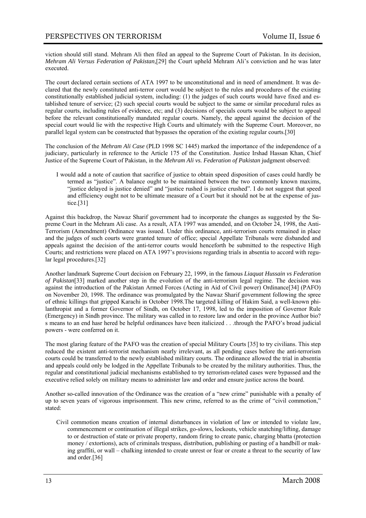viction should still stand. Mehram Ali then filed an appeal to the Supreme Court of Pakistan. In its decision, *Mehram Ali Versus Federation of Pakistan,*[29] the Court upheld Mehram Ali's conviction and he was later executed.

The court declared certain sections of ATA 1997 to be unconstitutional and in need of amendment. It was declared that the newly constituted anti-terror court would be subject to the rules and procedures of the existing constitutionally established judicial system, including: (1) the judges of such courts would have fixed and established tenure of service; (2) such special courts would be subject to the same or similar procedural rules as regular courts, including rules of evidence, etc; and (3) decisions of specials courts would be subject to appeal before the relevant constitutionally mandated regular courts. Namely, the appeal against the decision of the special court would lie with the respective High Courts and ultimately with the Supreme Court. Moreover, no parallel legal system can be constructed that bypasses the operation of the existing regular courts.[30]

The conclusion of the *Mehram Ali Case* (PLD 1998 SC 1445) marked the importance of the independence of a judiciary, particularly in reference to the Article 175 of the Constitution. Justice Irshad Hassan Khan, Chief Justice of the Supreme Court of Pakistan, in the *Mehram Ali vs. Federation of Pakistan* judgment observed:

I would add a note of caution that sacrifice of justice to obtain speed disposition of cases could hardly be termed as "justice". A balance ought to be maintained between the two commonly known maxims, "justice delayed is justice denied" and "justice rushed is justice crushed". I do not suggest that speed and efficiency ought not to be ultimate measure of a Court but it should not be at the expense of justice.[31]

Against this backdrop, the Nawaz Sharif government had to incorporate the changes as suggested by the Supreme Court in the Mehram Ali case. As a result, ATA 1997 was amended, and on October 24, 1998, the Anti-Terrorism (Amendment) Ordinance was issued. Under this ordinance, anti-terrorism courts remained in place and the judges of such courts were granted tenure of office; special Appellate Tribunals were disbanded and appeals against the decision of the anti-terror courts would henceforth be submitted to the respective High Courts; and restrictions were placed on ATA 1997's provisions regarding trials in absentia to accord with regular legal procedures.[32]

Another landmark Supreme Court decision on February 22, 1999, in the famous *Liaquat Hussain vs Federation of Pakistan*[33] marked another step in the evolution of the anti-terrorism legal regime. The decision was against the introduction of the Pakistan Armed Forces (Acting in Aid of Civil power) Ordinance[34] (PAFO) on November 20, 1998. The ordinance was promulgated by the Nawaz Sharif government following the spree of ethnic killings that gripped Karachi in October 1998.The targeted killing of Hakim Said, a well-known philanthropist and a former Governor of Sindh, on October 17, 1998, led to the imposition of Governor Rule (Emergency) in Sindh province. The military was called in to restore law and order in the province Author bio? s means to an end hasr hered be helpful ordinances have been italicized . . .through the PAFO's broad judicial powers - were conferred on it.

The most glaring feature of the PAFO was the creation of special Military Courts [35] to try civilians. This step reduced the existent anti-terrorist mechanism nearly irrelevant, as all pending cases before the anti-terrorism courts could be transferred to the newly established military courts. The ordinance allowed the trial in absentia and appeals could only be lodged in the Appellate Tribunals to be created by the military authorities. Thus, the regular and constitutional judicial mechanisms established to try terrorism-related cases were bypassed and the executive relied solely on military means to administer law and order and ensure justice across the board.

Another so-called innovation of the Ordinance was the creation of a "new crime" punishable with a penalty of up to seven years of vigorous imprisonment. This new crime, referred to as the crime of "civil commotion," stated:

Civil commotion means creation of internal disturbances in violation of law or intended to violate law, commencement or continuation of illegal strikes, go-slows, lockouts, vehicle snatching/lifting, damage to or destruction of state or private property, random firing to create panic, charging bhatta (protection money / extortions), acts of criminals trespass, distribution, publishing or pasting of a handbill or making graffiti, or wall – chalking intended to create unrest or fear or create a threat to the security of law and order.[36]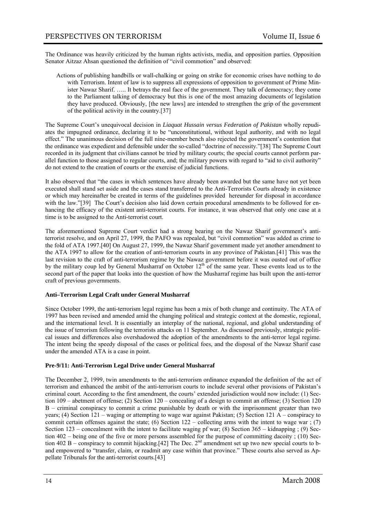The Ordinance was heavily criticized by the human rights activists, media, and opposition parties. Opposition Senator Aitzaz Ahsan questioned the definition of "civil commotion" and observed:

Actions of publishing handbills or wall-chalking or going on strike for economic crises have nothing to do with Terrorism. Intent of law is to suppress all expressions of opposition to government of Prime Minister Nawaz Sharif. ….. It betrays the real face of the government. They talk of democracy; they come to the Parliament talking of democracy but this is one of the most amazing documents of legislation they have produced. Obviously, [the new laws] are intended to strengthen the grip of the government of the political activity in the country.[37]

The Supreme Court's unequivocal decision in *Liaquat Hussain versus Federation of Pakistan* wholly repudiates the impugned ordinance, declaring it to be "unconstitutional, without legal authority, and with no legal effect." The unanimous decision of the full nine-member bench also rejected the government's contention that the ordinance was expedient and defensible under the so-called "doctrine of necessity."[38] The Supreme Court recorded in its judgment that civilians cannot be tried by military courts; the special courts cannot perform parallel function to those assigned to regular courts, and; the military powers with regard to "aid to civil authority" do not extend to the creation of courts or the exercise of judicial functions.

It also observed that "the cases in which sentences have already been awarded but the same have not yet been executed shall stand set aside and the cases stand transferred to the Anti-Terrorists Courts already in existence or which may hereinafter be created in terms of the guidelines provided hereunder for disposal in accordance with the law."[39] The Court's decision also laid down certain procedural amendments to be followed for enhancing the efficacy of the existent anti-terrorist courts. For instance, it was observed that only one case at a time is to be assigned to the Anti-terrorist court.

The aforementioned Supreme Court verdict had a strong bearing on the Nawaz Sharif government's antiterrorist resolve, and on April 27, 1999, the PAFO was repealed, but "civil commotion" was added as crime to the fold of ATA 1997.[40] On August 27, 1999, the Nawaz Sharif government made yet another amendment to the ATA 1997 to allow for the creation of anti-terrorism courts in any province of Pakistan.[41] This was the last revision to the craft of anti-terrorism regime by the Nawaz government before it was ousted out of office by the military coup led by General Musharraf on October 12<sup>th</sup> of the same year. These events lead us to the second part of the paper that looks into the question of how the Musharraf regime has built upon the anti-terror craft of previous governments.

#### **Anti–Terrorism Legal Craft under General Musharraf**

Since October 1999, the anti-terrorism legal regime has been a mix of both change and continuity. The ATA of 1997 has been revised and amended amid the changing political and strategic context at the domestic, regional, and the international level. It is essentially an interplay of the national, regional, and global understanding of the issue of terrorism following the terrorists attacks on 11 September. As discussed previously, strategic political issues and differences also overshadowed the adoption of the amendments to the anti-terror legal regime. The intent being the speedy disposal of the cases or political foes, and the disposal of the Nawaz Sharif case under the amended ATA is a case in point.

#### **Pre-9/11: Anti-Terrorism Legal Drive under General Musharraf**

The December 2, 1999, twin amendments to the anti-terrorism ordinance expanded the definition of the act of terrorism and enhanced the ambit of the anti-terrorism courts to include several other provisions of Pakistan's criminal court. According to the first amendment, the courts' extended jurisdiction would now include: (1) Section 109 – abetment of offense; (2) Section 120 – concealing of a design to commit an offense; (3) Section 120 B – criminal conspiracy to commit a crime punishable by death or with the imprisonment greater than two years; (4) Section 121 – waging or attempting to wage war against Pakistan; (5) Section 121 A – conspiracy to commit certain offenses against the state; (6) Section  $122 -$  collecting arms with the intent to wage war; (7) Section 123 – concealment with the intent to facilitate waging pf war; (8) Section 365 – kidnapping; (9) Section 402 – being one of the five or more persons assembled for the purpose of committing dacoity ; (10) Section 402 B – conspiracy to commit hijacking.[42] The Dec.  $2^{nd}$  amendment set up two new special courts to band empowered to "transfer, claim, or readmit any case within that province." These courts also served as Appellate Tribunals for the anti-terrorist courts.[43]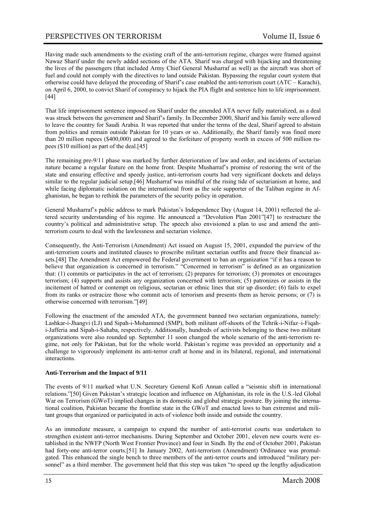Having made such amendments to the existing craft of the anti-terrorism regime, charges were framed against Nawaz Sharif under the newly added sections of the ATA. Sharif was charged with hijacking and threatening the lives of the passengers (that included Army Chief General Musharraf as well) as the aircraft was short of fuel and could not comply with the directives to land outside Pakistan. Bypassing the regular court system that otherwise could have delayed the proceeding of Sharif's case enabled the anti-terrorism court (ATC – Karachi), on April 6, 2000, to convict Sharif of conspiracy to hijack the PIA flight and sentence him to life imprisonment. [44]

That life imprisonment sentence imposed on Sharif under the amended ATA never fully materialized, as a deal was struck between the government and Sharif's family. In December 2000, Sharif and his family were allowed to leave the country for Saudi Arabia. It was reported that under the terms of the deal, Sharif agreed to abstain from politics and remain outside Pakistan for 10 years or so. Additionally, the Sharif family was fined more than 20 million rupees (\$400,000) and agreed to the forfeiture of property worth in excess of 500 million rupees (\$10 million) as part of the deal.[45]

The remaining pre-9/11 phase was marked by further deterioration of law and order, and incidents of sectarian nature became a regular feature on the home front. Despite Musharraf's promise of restoring the writ of the state and ensuring effective and speedy justice, anti-terrorism courts had very significant dockets and delays similar to the regular judicial setup.[46] Musharraf was mindful of the rising tide of sectarianism at home, and while facing diplomatic isolation on the international front as the sole supporter of the Taliban regime in Afghanistan, he began to rethink the parameters of the security policy in operation.

General Musharraf's public address to mark Pakistan's Independence Day (August 14, 2001) reflected the altered security understanding of his regime. He announced a "Devolution Plan 2001"[47] to restructure the country's political and administrative setup. The speech also envisioned a plan to use and amend the antiterrorism courts to deal with the lawlessness and sectarian violence.

Consequently, the Anti-Terrorism (Amendment) Act issued on August 15, 2001, expanded the purview of the anti-terrorism courts and instituted clauses to proscribe militant sectarian outfits and freeze their financial assets.[48] The Amendment Act empowered the Federal government to ban an organization "if it has a reason to believe that organization is concerned in terrorism." "Concerned in terrorism" is defined as an organization that: (1) commits or participates in the act of terrorism; (2) prepares for terrorism; (3) promotes or encourages terrorism; (4) supports and assists any organization concerned with terrorism; (5) patronizes or assists in the incitement of hatred or contempt on religious, sectarian or ethnic lines that stir up disorder; (6) fails to expel from its ranks or ostracize those who commit acts of terrorism and presents them as heroic persons; or (7) is otherwise concerned with terrorism."[49]

Following the enactment of the amended ATA, the government banned two sectarian organizations, namely: Lashkar-i-Jhangvi (LJ) and Sipah-i-Mohammed (SMP), both militant off-shoots of the Tehrik-i-Nifaz–i-Fiqahi-Jafferia and Sipah-i-Sahaba, respectively. Additionally, hundreds of activists belonging to these two militant organizations were also rounded up. September 11 soon changed the whole scenario of the anti-terrorism regime, not only for Pakistan, but for the whole world. Pakistan's regime was provided an opportunity and a challenge to vigorously implement its anti-terror craft at home and in its bilateral, regional, and international interactions.

#### **Anti-Terrorism and the Impact of 9/11**

The events of 9/11 marked what U.N. Secretary General Kofi Annan called a "seismic shift in international relations."[50] Given Pakistan's strategic location and influence on Afghanistan, its role in the U.S.-led Global War on Terrorism (GWoT) implied changes in its domestic and global strategic posture. By joining the international coalition, Pakistan became the frontline state in the GWoT and enacted laws to ban extremist and militant groups that organized or participated in acts of violence both inside and outside the country.

As an immediate measure, a campaign to expand the number of anti-terrorist courts was undertaken to strengthen existent anti-terror mechanisms. During September and October 2001, eleven new courts were established in the NWFP (North West Frontier Province) and four in Sindh. By the end of October 2001, Pakistan had forty-one anti-terror courts.[51] In January 2002, Anti-terrorism (Amendment) Ordinance was promulgated. This enhanced the single bench to three members of the anti-terror courts and introduced "military personnel" as a third member. The government held that this step was taken "to speed up the lengthy adjudication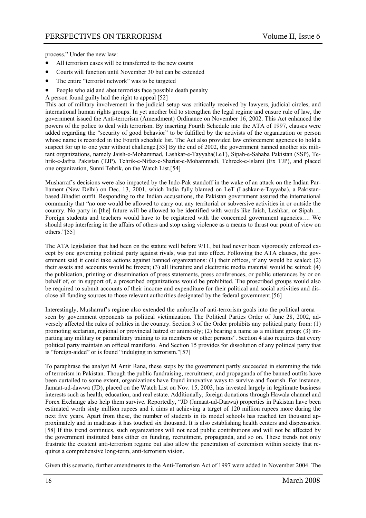process." Under the new law:

- All terrorism cases will be transferred to the new courts
- Courts will function until November 30 but can be extended
- The entire "terrorist network" was to be targeted
- People who aid and abet terrorists face possible death penalty
- A person found guilty had the right to appeal [52]

This act of military involvement in the judicial setup was critically received by lawyers, judicial circles, and international human rights groups. In yet another bid to strengthen the legal regime and ensure rule of law, the government issued the Anti-terrorism (Amendment) Ordinance on November 16, 2002. This Act enhanced the powers of the police to deal with terrorism. By inserting Fourth Schedule into the ATA of 1997, clauses were added regarding the "security of good behavior" to be fulfilled by the activists of the organization or person whose name is recorded in the Fourth schedule list. The Act also provided law enforcement agencies to hold a suspect for up to one year without challenge.[53] By the end of 2002, the government banned another six militant organizations, namely Jaish-e-Mohammad, Lashkar-e-Tayyaba(LeT), Sipah-e-Sahaba Pakistan (SSP), Tehrik-e-Jafria Pakistan (TJP), Tehrik-e-Nifaz-e-Shariat-e-Mohammadi, Tehreek-e-Islami (Ex TJP), and placed one organization, Sunni Tehrik, on the Watch List.[54]

Musharraf's decisions were also impacted by the Indo-Pak standoff in the wake of an attack on the Indian Parliament (New Delhi) on Dec. 13, 2001, which India fully blamed on LeT (Lashkar-e-Tayyaba), a Pakistanbased Jihadist outfit. Responding to the Indian accusations, the Pakistan government assured the international community that "no one would be allowed to carry out any territorial or subversive activities in or outside the country. No party in [the] future will be allowed to be identified with words like Jaish, Lashkar, or Sipah…. Foreign students and teachers would have to be registered with the concerned government agencies…. We should stop interfering in the affairs of others and stop using violence as a means to thrust our point of view on others."[55]

The ATA legislation that had been on the statute well before 9/11, but had never been vigorously enforced except by one governing political party against rivals, was put into effect. Following the ATA clauses, the government said it could take actions against banned organizations: (1) their offices, if any would be sealed; (2) their assets and accounts would be frozen; (3) all literature and electronic media material would be seized; (4) the publication, printing or dissemination of press statements, press conferences, or public utterances by or on behalf of, or in support of, a proscribed organizations would be prohibited. The proscribed groups would also be required to submit accounts of their income and expenditure for their political and social activities and disclose all funding sources to those relevant authorities designated by the federal government.[56]

Interestingly, Musharraf's regime also extended the umbrella of anti-terrorism goals into the political arena seen by government opponents as political victimization. The Political Parties Order of June 28, 2002, adversely affected the rules of politics in the country. Section 3 of the Order prohibits any political party from: (1) promoting sectarian, regional or provincial hatred or animosity; (2) bearing a name as a militant group; (3) imparting any military or paramilitary training to its members or other persons". Section 4 also requires that every political party maintain an official manifesto. And Section 15 provides for dissolution of any political party that is "foreign-aided" or is found "indulging in terrorism."[57]

To paraphrase the analyst M Amir Rana, these steps by the government partly succeeded in stemming the tide of terrorism in Pakistan. Though the public fundraising, recruitment, and propaganda of the banned outfits have been curtailed to some extent, organizations have found innovative ways to survive and flourish. For instance, Jamaat-ud-dawwa (JD), placed on the Watch List on Nov. 15, 2003, has invested largely in legitimate business interests such as health, education, and real estate. Additionally, foreign donations through Hawala channel and Forex Exchange also help them survive. Reportedly, "JD (Jamaat-ud-Daawa) properties in Pakistan have been estimated worth sixty million rupees and it aims at achieving a target of 120 million rupees more during the next five years. Apart from these, the number of students in its model schools has reached ten thousand approximately and in madrasas it has touched six thousand. It is also establishing health centers and dispensaries. [58] If this trend continues, such organizations will not need public contributions and will not be affected by the government instituted bans either on funding, recruitment, propaganda, and so on. These trends not only frustrate the existent anti-terrorism regime but also allow the penetration of extremism within society that requires a comprehensive long-term, anti-terrorism vision.

Given this scenario, further amendments to the Anti-Terrorism Act of 1997 were added in November 2004. The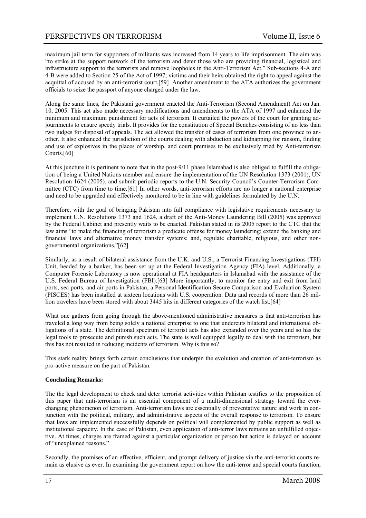maximum jail term for supporters of militants was increased from 14 years to life imprisonment. The aim was "to strike at the support network of the terrorism and deter those who are providing financial, logistical and infrastructure support to the terrorists and remove loopholes in the Anti-Terrorism Act." Sub-sections 4-A and 4-B were added to Section 25 of the Act of 1997; victims and their heirs obtained the right to appeal against the acquittal of accused by an anti-terrorist court.[59] Another amendment to the ATA authorizes the government officials to seize the passport of anyone charged under the law.

Along the same lines, the Pakistani government enacted the Anti-Terrorism (Second Amendment) Act on Jan. 10, 2005. This act also made necessary modifications and amendments to the ATA of 1997 and enhanced the minimum and maximum punishment for acts of terrorism. It curtailed the powers of the court for granting adjournments to ensure speedy trials. It provides for the constitution of Special Benches consisting of no less than two judges for disposal of appeals. The act allowed the transfer of cases of terrorism from one province to another. It also enhanced the jurisdiction of the courts dealing with abduction and kidnapping for ransom, finding and use of explosives in the places of worship, and court premises to be exclusively tried by Anti-terrorism Courts.[60]

At this juncture it is pertinent to note that in the post-9/11 phase Islamabad is also obliged to fulfill the obligation of being a United Nations member and ensure the implementation of the UN Resolution 1373 (2001), UN Resolution 1624 (2005), and submit periodic reports to the U.N. Security Council's Counter-Terrorism Committee (CTC) from time to time.[61] In other words, anti-terrorism efforts are no longer a national enterprise and need to be upgraded and effectively monitored to be in line with guidelines formulated by the U.N.

Therefore, with the goal of bringing Pakistan into full compliance with legislative requirements necessary to implement U.N. Resolutions 1373 and 1624, a draft of the Anti-Money Laundering Bill (2005) was approved by the Federal Cabinet and presently waits to be enacted. Pakistan stated in its 2005 report to the CTC that the law aims "to make the financing of terrorism a predicate offense for money laundering; extend the banking and financial laws and alternative money transfer systems; and, regulate charitable, religious, and other nongovernmental organizations."[62]

Similarly, as a result of bilateral assistance from the U.K. and U.S., a Terrorist Financing Investigations (TFI) Unit, headed by a banker, has been set up at the Federal Investigation Agency (FIA) level. Additionally, a Computer Forensic Laboratory is now operational at FIA headquarters in Islamabad with the assistance of the U.S. Federal Bureau of Investigation (FBI).[63] More importantly, to monitor the entry and exit from land ports, sea ports, and air ports in Pakistan, a Personal Identification Secure Comparison and Evaluation System (PISCES) has been installed at sixteen locations with U.S. cooperation. Data and records of more than 26 million travelers have been stored with about 3445 hits in different categories of the watch list.[64]

What one gathers from going through the above-mentioned administrative measures is that anti-terrorism has traveled a long way from being solely a national enterprise to one that undercuts bilateral and international obligations of a state. The definitional spectrum of terrorist acts has also expanded over the years and so has the legal tools to prosecute and punish such acts. The state is well equipped legally to deal with the terrorism, but this has not resulted in reducing incidents of terrorism. Why is this so?

This stark reality brings forth certain conclusions that underpin the evolution and creation of anti-terrorism as pro-active measure on the part of Pakistan.

#### **Concluding Remarks:**

The the legal development to check and deter terrorist activities within Pakistan testifies to the proposition of this paper that anti-terrorism is an essential component of a multi-dimensional strategy toward the everchanging phenomenon of terrorism. Anti-terrorism laws are essentially of preventative nature and work in conjunction with the political, military, and administrative aspects of the overall response to terrorism. To ensure that laws are implemented successfully depends on political will complemented by public support as well as institutional capacity. In the case of Pakistan, even application of anti-terror laws remains an unfulfilled objective. At times, charges are framed against a particular organization or person but action is delayed on account of "unexplained reasons."

Secondly, the promises of an effective, efficient, and prompt delivery of justice via the anti-terrorist courts remain as elusive as ever. In examining the government report on how the anti-terror and special courts function,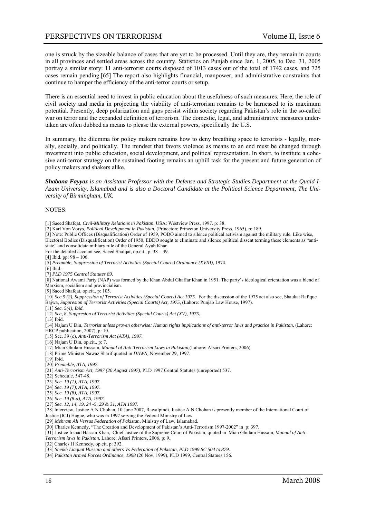one is struck by the sizeable balance of cases that are yet to be processed. Until they are, they remain in courts in all provinces and settled areas across the country. Statistics on Punjab since Jan. 1, 2005, to Dec. 31, 2005 portray a similar story: 11 anti-terrorist courts disposed of 1013 cases out of the total of 1742 cases, and 725 cases remain pending.[65] The report also highlights financial, manpower, and administrative constraints that continue to hamper the efficiency of the anti-terror courts or setup.

There is an essential need to invest in public education about the usefulness of such measures. Here, the role of civil society and media in projecting the viability of anti-terrorism remains to be harnessed to its maximum potential. Presently, deep polarization and gaps persist within society regarding Pakistan's role in the so-called war on terror and the expanded definition of terrorism. The domestic, legal, and administrative measures undertaken are often dubbed as means to please the external powers, specifically the U.S.

In summary, the dilemma for policy makers remains how to deny breathing space to terrorists - legally, morally, socially, and politically. The mindset that favors violence as means to an end must be changed through investment into public education, social development, and political representation. In short, to institute a cohesive anti-terror strategy on the sustained footing remains an uphill task for the present and future generation of policy makers and shakers alike.

*Shabana Fayyaz is an Assistant Professor with the Defense and Strategic Studies Department at the Quaid-I-Azam University, Islamabad and is also a Doctoral Candidate at the Political Science Department, The University of Birmingham, UK.* 

#### NOTES:

[1] Saeed Shafqat, *Civil-Military Relations in Pakistan*, USA: Westview Press, 1997. p: 38.

[2] Karl Von Vorys, *Political Development in Pakistan*, (Princeton: Princeton University Press, 1965), p: 189.

[3] Note: Public Offices (Disqualification) Order of 1959, PODO aimed to silence political activism against the military rule. Like wise,

Electoral Bodies (Disqualification) Order of 1950, EBDO sought to eliminate and silence political dissent terming these elements as "antistate" and consolidate military rule of the General Ayub Khan.

For the detailed account see, Saeed Shafqat, op.cit., p: 38 – 39.

[4] Ibid. pp: 98 - 106.

[5] *Preamble, Suppression of Terrorist Activities (Special Courts) Ordinance (XVIII),* 1974.

[6] Ibid.

[7] *PLD 1975 Central Statutes 89.*

[8] National Awami Party (NAP) was formed by the Khan Abdul Ghaffar Khan in 1951. The party's ideological orientation was a blend of Marxism, socialism and provincialism.

[9] Saeed Shafqat, op.cit., p: 105.

[10] *Sec.5 (2), Suppression of Terrorist Activities (Special Courts) Act 1975.* For the discussion of the 1975 act also see, Shaukat Rafique Bajwa, *Suppresion of Terrorist Activities (Special Courts) Act, 1975,* (Lahore: Punjab Law House, 1997).

- [11] *Sec. 5(4), Ibid.*
- [12] *Sec, 8, Suppresion of Terrorist Activities (Special Courts) Act (XV), 1975.*

 $\overline{13}$ ] Ibid.

[14] Najam U Din, *Terrorist unless proven otherwise: Human rights implications of anti-terror laws and practice in Pakistan,* (Lahore:

HRCP publication, 2007), p: 10.

[15] Sec. 39 (c), *Anti-Terrorism Act (ATA), 1997.* 

[16] Najam U Din, op.cit., p: 7.

- [17] Mian Ghulam Hussain, *Manual of Anti-Terrorism Laws in Pakistan,*(Lahore: Afsari Printers, 2006).
- [18] Prime Minister Nawaz Sharif quoted in *DAWN,* November 29, 1997.
- [19] Ibid.
- [20] *Preamble, ATA, 1997.*
- [21] *Anti-Terrorism Act, 1997 (20 August 1997)*, PLD 1997 Central Statutes (unreported) 537.
- [22] Schedule, 547-48.
- [23] *Sec. 19 (1), ATA, 1997.*
- [24] *Sec. 19 (7), ATA, 1997.*
- [25] *Sec. 19 (8), ATA, 1997.*
- [26] *Sec. 19 (8-a), ATA, 1997.*
- [27] *Sec. 12, 14, 19, 24 -5, 29 & 31, ATA 1997.*

[28]Interview, Justice A N Chohan, 10 June 2007, Rawalpindi. Justice A N Chohan is presently member of the International Court of Justice (ICJ) Hague, who was in 1997 serving the Federal Ministry of Law.

[29] *Mehram Ali Versus Federation of Pakistan,* Ministry of Law, Islamabad.

[30] Charles Kennedy, "The Creation and Development of Pakistan's Anti-Terrorism 1997-2002" in p: 397.

[31] Justice Irshad Hassan Khan, Chief Justice of the Supreme Court of Pakistan, quoted in Mian Ghulam Hussain, *Manual of Anti-*

*Terrorism laws in Pakistan,* Lahore: Afsari Printers, 2006, p: 9.*,* 

[32] Charles H Kennedy, op.cit, p: 392.

[33] *Sheikh Liaquat Hussain and others Vs Federation of Pakistan, PLD 1999 SC 504 to 879.* 

[34] *Pakistan Armed Forces Ordinance, 1998* (20 Nov, 1999), PLD 1999, Central Statues 156.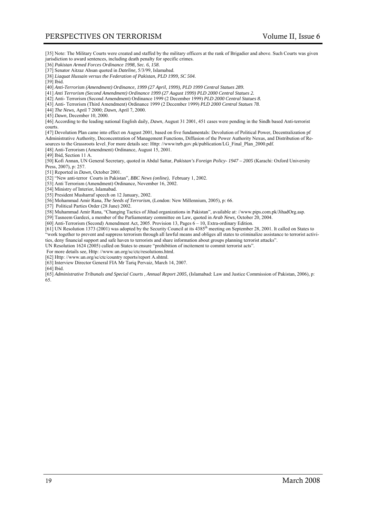[35] Note: The Military Courts were created and staffed by the military officers at the rank of Brigadier and above. Such Courts was given jurisdiction to award sentences, including death penalty for specific crimes.

[36] *Pakistan Armed Forces Ordinance 1998, Sec. 6, 158.* 

- [37] Senator Aitzaz Ahsan quoted in *Dateline,* 5/3/99, Islamabad.
- [38] *Liaquat Hussain versus the Federation of Pakistan, PLD 1999, SC 504.*
- [39] Ibid.

[40] *Anti-Terrorism (Amendment) Ordinance, 1999 (27 April, 1999), PLD 1999 Central Statues 289.* 

[41] *Anti Terrorism (Second Amendment) Ordinance 1999 (27 August 1999) PLD 2000 Central Statues 2.* 

[42] Anti- Terrorism (Second Amendment) Ordinance 1999 (2 December 1999) *PLD 2000 Central Statues 8.*

[43] Anti- Terrorism (Third Amendment) Ordinance 1999 (2 December 1999) *PLD 2000 Central Statues 78.* 

[44] *The News,* April 7 2000; *Dawn,* April 7, 2000.

[45] *Dawn,* December 10, 2000.

[46] According to the leading national English daily, *Dawn*, August 31 2001, 451 cases were pending in the Sindh based Anti-terrorist courts.

[47] Devolution Plan came into effect on August 2001, based on five fundamentals: Devolution of Political Power, Decentralization pf Administrative Authority, Deconcentration of Management Functions, Diffusion of the Power Authority Nexus, and Distribution of Resources to the Grassroots level. For more details see: Http: //www/nrb.gov.pk/publication/LG\_Final\_Plan\_2000.pdf.

[48] Anti-Terrorism (Amendment) Ordinance, August 15, 2001.

[49] Ibid, Section 11 A.

[50] Kofi Annan, UN General Secretary, quoted in Abdul Sattar, *Pakistan's Foreign Policy- 1947 – 2005* (Karachi: Oxford University Press, 2007), p: 257.

[51] Reported in *Dawn,* October 2001.

[52] "New anti-terror Courts in Pakistan", *BBC News (online),* February 1, 2002.

[53] Anti Terrorism (Amendment) Ordinance, November 16, 2002.

[54] Ministry of Interior, Islamabad.

[55] President Musharraf speech on 12 January, 2002.

[56] Mohammad Amir Rana, *The Seeds of Terrorism,* (London: New Millennium, 2005), p: 66.

[57] Political Parties Order (28 June) 2002.

[58] Muhammad Amir Rana, "Changing Tactics of Jihad organizations in Pakistan", available at: //www.pips.com.pk/JihadOrg.asp.

[59] Tasneem Gardezi, a member of the Parliamentary committee on Law, quoted in *Arab News,* October 20, 2004.

[60] Anti-Terrorism (Second) Amendment Act, 2005. Provision 13, Pages 6 – 10, Extra-ordinary Edition.

 $[61]$  UN Resolution 1373 (2001) was adopted by the Security Council at its 4385<sup>th</sup> meeting on September 28, 2001. It called on States to "work together to prevent and suppress terrorism through all lawful means and obliges all states to criminalize assistance to terrorist activities, deny financial support and safe haven to terrorists and share information about groups planning terrorist attacks".

UN Resolution 1624 (2005) called on States to ensure "prohibition of incitement to commit terrorist acts".

For more details see, Http: //www.un.org/sc/ctc/resolutions.html.

[62] Http: //www.un.org/sc/ctc/country reports/report A.shtml.

[63] Interview Director General FIA Mr Tariq Pervaiz, March 14, 2007.

[64] Ibid.

[65] *Administrative Tribunals and Special Courts* , *Annual Report 2005,* (Islamabad: Law and Justice Commission of Pakistan, 2006), p: 65.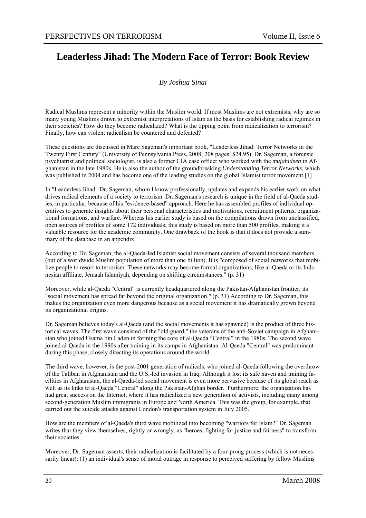# **Leaderless Jihad: The Modern Face of Terror: Book Review**

*By Joshua Sinai* 

Radical Muslims represent a minority within the Muslim world. If most Muslims are not extremists, why are so many young Muslims drawn to extremist interpretations of Islam as the basis for establishing radical regimes in their societies? How do they become radicalized? What is the tipping point from radicalization to terrorism? Finally, how can violent radicalism be countered and defeated?

These questions are discussed in Marc Sageman's important book, "Leaderless Jihad: Terror Networks in the Twenty First Century" (University of Pennsylvania Press, 2008; 208 pages, \$24.95). Dr. Sageman, a forensic psychiatrist and political sociologist, is also a former CIA case officer who worked with the *mujahideen* in Afghanistan in the late 1980s. He is also the author of the groundbreaking *Understanding Terror Networks*, which was published in 2004 and has become one of the leading studies on the global Islamist terror movement.[1]

In "Leaderless Jihad" Dr. Sageman, whom I know professionally, updates and expands his earlier work on what drives radical elements of a society to terrorism. Dr. Sageman's research is unique in the field of al-Qaeda studies, in particular, because of his "evidence-based" approach. Here he has assembled profiles of individual operatives to generate insights about their personal characteristics and motivations, recruitment patterns, organizational formations, and warfare. Whereas his earlier study is based on the compilations drawn from unclassified, open sources of profiles of some 172 individuals; this study is based on more than 500 profiles, making it a valuable resource for the academic community. One drawback of the book is that it does not provide a summary of the database in an appendix.

According to Dr. Sageman, the al-Qaeda-led Islamist social movement consists of several thousand members (out of a worldwide Muslim population of more than one billion). It is "composed of social networks that mobilize people to resort to terrorism. These networks may become formal organizations, like al-Qaeda or its Indonesian affiliate, Jemaah Islamiyah, depending on shifting circumstances." (p. 31)

Moreover, while al-Qaeda "Central" is currently headquartered along the Pakistan-Afghanistan frontier, its "social movement has spread far beyond the original organization." (p. 31) According to Dr. Sageman, this makes the organization even more dangerous because as a social movement it has dramatically grown beyond its organizational origins.

Dr. Sageman believes today's al-Qaeda (and the social movements it has spawned) is the product of three historical waves. The first wave consisted of the "old guard," the veterans of the anti-Soviet campaign in Afghanistan who joined Usama bin Laden in forming the core of al-Qaeda "Central" in the 1980s. The second wave joined al-Qaeda in the 1990s after training in its camps in Afghanistan. Al-Qaeda "Central" was predominant during this phase, closely directing its operations around the world.

The third wave, however, is the post-2001 generation of radicals, who joined al-Qaeda following the overthrow of the Taliban in Afghanistan and the U.S.-led invasion in Iraq. Although it lost its safe haven and training facilities in Afghanistan, the al-Qaeda-led social movement is even more pervasive because of its global reach as well as its links to al-Qaeda "Central" along the Pakistan-Afghan border. Furthermore, the organization has had great success on the Internet, where it has radicalized a new generation of activists, including many among second-generation Muslim immigrants in Europe and North America. This was the group, for example, that carried out the suicide attacks against London's transportation system in July 2005.

How are the members of al-Qaeda's third wave mobilized into becoming "warriors for Islam?" Dr. Sageman writes that they view themselves, rightly or wrongly, as "heroes, fighting for justice and fairness" to transform their societies.

Moreover, Dr. Sageman asserts, their radicalization is facilitated by a four-prong process (which is not necessarily linear): (1) an individual's sense of moral outrage in response to perceived suffering by fellow Muslims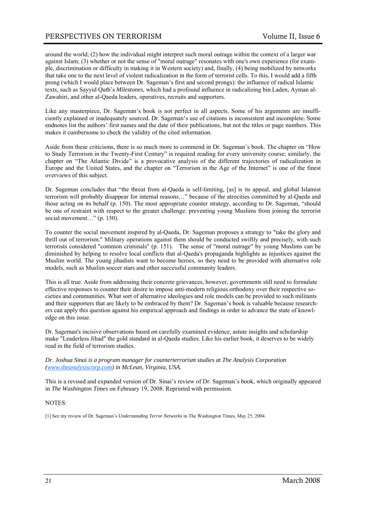around the world; (2) how the individual might interpret such moral outrage within the context of a larger war against Islam; (3) whether or not the sense of "moral outrage" resonates with one's own experience (for example, discrimination or difficulty in making it in Western society) and, finally, (4) being mobilized by networks that take one to the next level of violent radicalization in the form of terrorist cells. To this, I would add a fifth prong (which I would place between Dr. Sageman's first and second prongs): the influence of radical Islamic texts, such as Sayyid Qutb's *Milestones*, which had a profound influence in radicalizing bin Laden, Ayman al-Zawahiri, and other al-Qaeda leaders, operatives, recruits and supporters.

Like any masterpiece, Dr. Sageman's book is not perfect in all aspects. Some of his arguments are insufficiently explained or inadequately sourced. Dr. Sageman's use of citations is inconsistent and incomplete. Some endnotes list the authors' first names and the date of their publications, but not the titles or page numbers. This makes it cumbersome to check the validity of the cited information.

Aside from these criticisms, there is so much more to commend in Dr. Sageman's book. The chapter on "How to Study Terrorism in the Twenty-First Century" is required reading for every university course; similarly, the chapter on "The Atlantic Divide" is a provocative analysis of the different trajectories of radicalization in Europe and the United States, and the chapter on "Terrorism in the Age of the Internet" is one of the finest overviews of this subject.

Dr. Sageman concludes that "the threat from al-Qaeda is self-limiting, [as] is its appeal, and global Islamist terrorism will probably disappear for internal reasons…" because of the atrocities committed by al-Qaeda and those acting on its behalf (p. 150). The most appropriate counter strategy, according to Dr. Sageman, "should be one of restraint with respect to the greater challenge: preventing young Muslims from joining the terrorist social movement..." (p. 150).

To counter the social movement inspired by al-Qaeda, Dr. Sageman proposes a strategy to "take the glory and thrill out of terrorism." Military operations against them should be conducted swiftly and precisely, with such terrorists considered "common criminals" (p. 151). The sense of "moral outrage" by young Muslims can be diminished by helping to resolve local conflicts that al-Qaeda's propaganda highlights as injustices against the Muslim world. The young jihadists want to become heroes, so they need to be provided with alternative role models, such as Muslim soccer stars and other successful community leaders.

This is all true. Aside from addressing their concrete grievances, however, governments still need to formulate effective responses to counter their desire to impose anti-modern religious orthodoxy over their respective societies and communities. What sort of alternative ideologies and role models can be provided to such militants and their supporters that are likely to be embraced by them? Dr. Sageman's book is valuable because researchers can apply this question against his empirical approach and findings in order to advance the state of knowledge on this issue.

Dr. Sageman's incisive observations based on carefully examined evidence, astute insights and scholarship make "Leaderless Jihad" the gold standard in al-Qaeda studies. Like his earlier book, it deserves to be widely read in the field of terrorism studies.

#### *Dr. Joshua Sinai is a program manager for counterterrorism studies at The Analysis Corporation (www.theanalysiscorp.com) in McLean, Virginia, USA.*

This is a revised and expanded version of Dr. Sinai's review of Dr. Sageman's book, which originally appeared in *The Washington Times* on February 19, 2008. Reprinted with permission.

#### NOTES:

[1] See my review of Dr. Sageman's *Understanding Terror Networks* in The Washington Times, May 25, 2004.